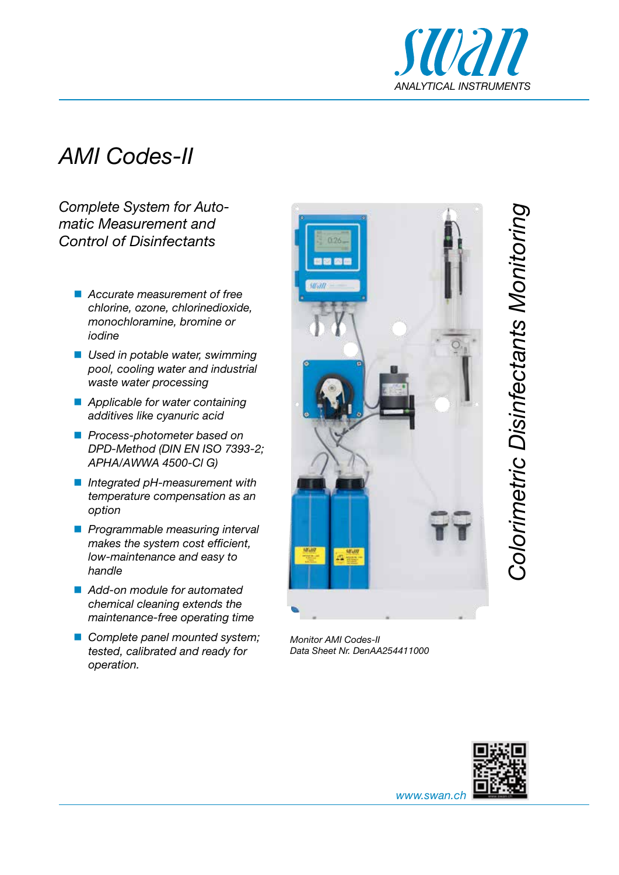

## *AMI Codes-II*

*Complete System for Automatic Measurement and Control of Disinfectants*

- *Accurate measurement of free chlorine, ozone, chlorinedioxide, monochloramine, bromine or iodine*
- *Used in potable water, swimming pool, cooling water and industrial waste water processing*
- *Applicable for water containing additives like cyanuric acid*
- *Process-photometer based on DPD-Method (DIN EN ISO 7393-2; APHA/AWWA 4500-Cl G)*
- *Integrated pH-measurement with temperature compensation as an option*
- *Programmable measuring interval makes the system cost efficient, low-maintenance and easy to handle*
- *Add-on module for automated chemical cleaning extends the maintenance-free operating time*
- *Complete panel mounted system; tested, calibrated and ready for operation.*



*Monitor AMI Codes-II Data Sheet Nr. DenAA254411000*



*www.swan.ch*